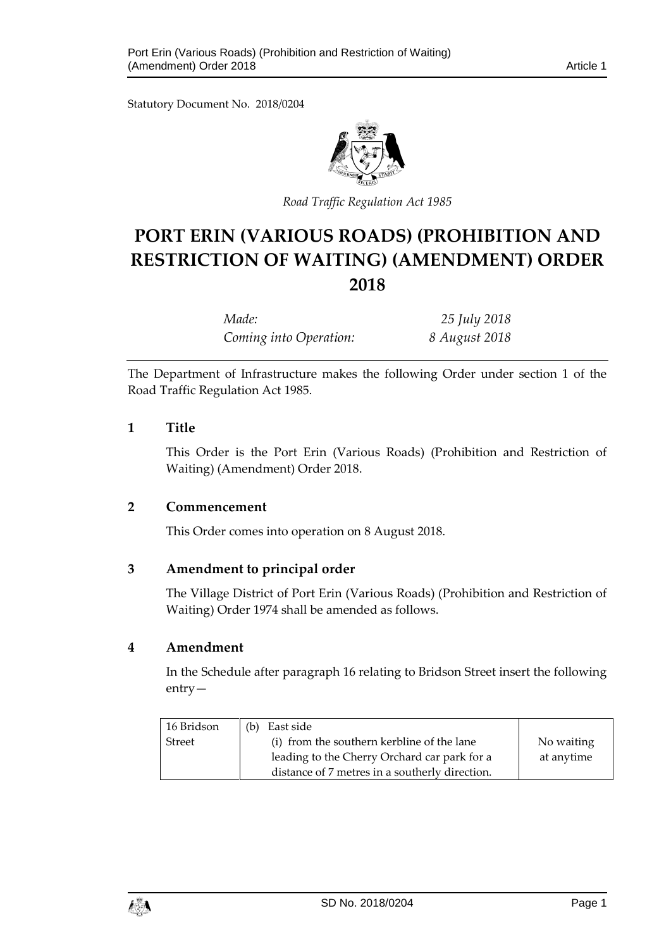Statutory Document No. 2018/0204



*Road Traffic Regulation Act 1985*

# **PORT ERIN (VARIOUS ROADS) (PROHIBITION AND RESTRICTION OF WAITING) (AMENDMENT) ORDER 2018**

*Made: 25 July 2018 Coming into Operation: 8 August 2018*

The Department of Infrastructure makes the following Order under section 1 of the Road Traffic Regulation Act 1985.

## **1 Title**

This Order is the Port Erin (Various Roads) (Prohibition and Restriction of Waiting) (Amendment) Order 2018.

## **2 Commencement**

This Order comes into operation on 8 August 2018.

# **3 Amendment to principal order**

The Village District of Port Erin (Various Roads) (Prohibition and Restriction of Waiting) Order 1974 shall be amended as follows.

## **4 Amendment**

In the Schedule after paragraph 16 relating to Bridson Street insert the following entry—

| 16 Bridson    | East side<br>(b)                               |            |
|---------------|------------------------------------------------|------------|
| <b>Street</b> | (i) from the southern kerbline of the lane     | No waiting |
|               | leading to the Cherry Orchard car park for a   | at anytime |
|               | distance of 7 metres in a southerly direction. |            |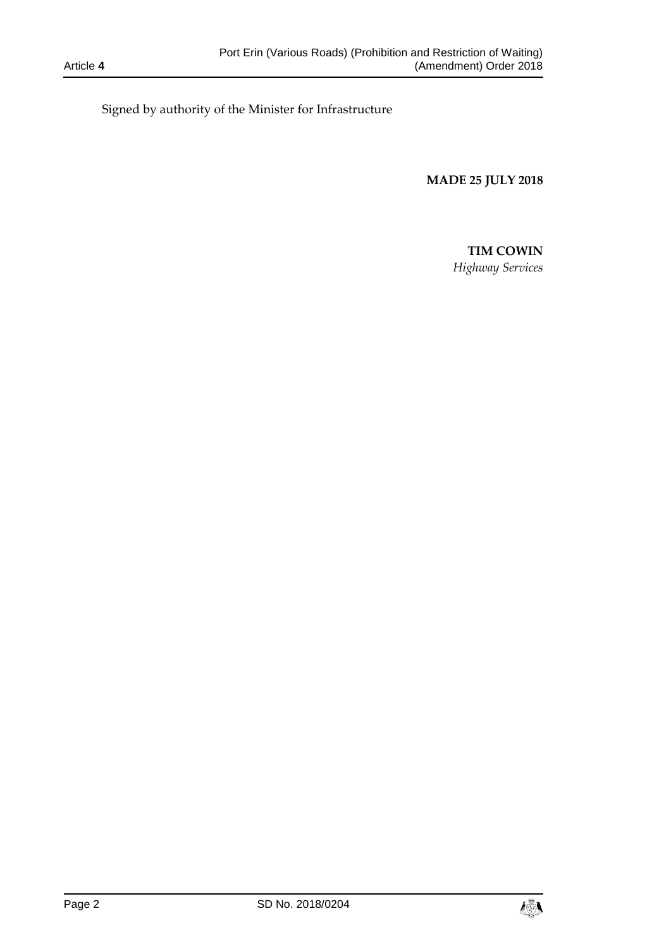Signed by authority of the Minister for Infrastructure

**MADE 25 JULY 2018**

#### **TIM COWIN**

*Highway Services*